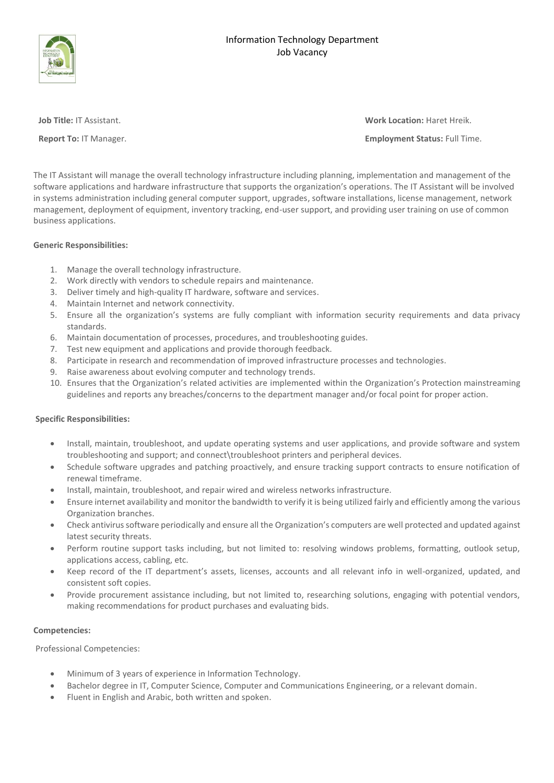



**Job Title:** IT Assistant. **Work Location:** Haret Hreik.

**Report To:** IT Manager. **Employment Status:** Full Time.

The IT Assistant will manage the overall technology infrastructure including planning, implementation and management of the software applications and hardware infrastructure that supports the organization's operations. The IT Assistant will be involved in systems administration including general computer support, upgrades, software installations, license management, network management, deployment of equipment, inventory tracking, end-user support, and providing user training on use of common business applications.

## **Generic Responsibilities:**

- 1. Manage the overall technology infrastructure.
- 2. Work directly with vendors to schedule repairs and maintenance.
- 3. Deliver timely and high-quality IT hardware, software and services.
- 4. Maintain Internet and network connectivity.
- 5. Ensure all the organization's systems are fully compliant with information security requirements and data privacy standards.
- 6. Maintain documentation of processes, procedures, and troubleshooting guides.
- 7. Test new equipment and applications and provide thorough feedback.
- 8. Participate in research and recommendation of improved infrastructure processes and technologies.
- 9. Raise awareness about evolving computer and technology trends.
- 10. Ensures that the Organization's related activities are implemented within the Organization's Protection mainstreaming guidelines and reports any breaches/concerns to the department manager and/or focal point for proper action.

# **Specific Responsibilities:**

- Install, maintain, troubleshoot, and update operating systems and user applications, and provide software and system troubleshooting and support; and connect\troubleshoot printers and peripheral devices.
- Schedule software upgrades and patching proactively, and ensure tracking support contracts to ensure notification of renewal timeframe.
- Install, maintain, troubleshoot, and repair wired and wireless networks infrastructure.
- Ensure internet availability and monitor the bandwidth to verify it is being utilized fairly and efficiently among the various Organization branches.
- Check antivirus software periodically and ensure all the Organization's computers are well protected and updated against latest security threats.
- Perform routine support tasks including, but not limited to: resolving windows problems, formatting, outlook setup, applications access, cabling, etc.
- Keep record of the IT department's assets, licenses, accounts and all relevant info in well-organized, updated, and consistent soft copies.
- Provide procurement assistance including, but not limited to, researching solutions, engaging with potential vendors, making recommendations for product purchases and evaluating bids.

#### **Competencies:**

Professional Competencies:

- Minimum of 3 years of experience in Information Technology.
- Bachelor degree in IT, Computer Science, Computer and Communications Engineering, or a relevant domain.
- Fluent in English and Arabic, both written and spoken.